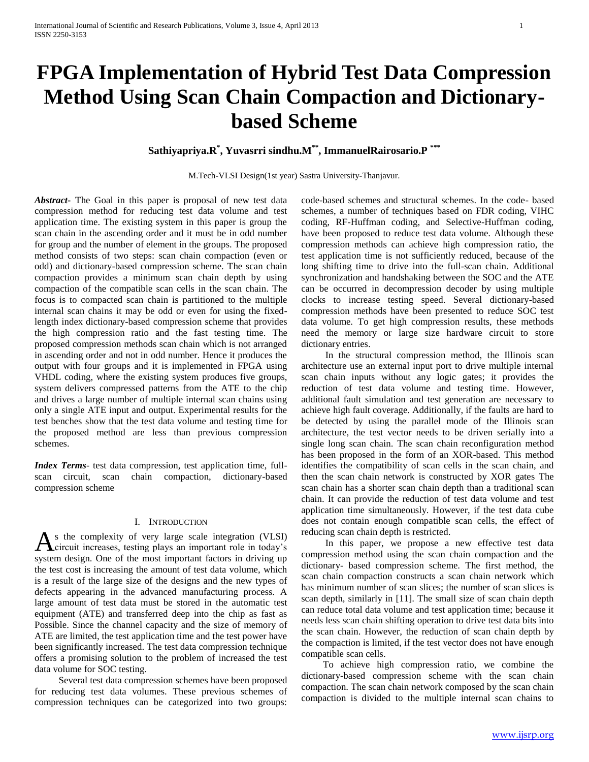# **FPGA Implementation of Hybrid Test Data Compression Method Using Scan Chain Compaction and Dictionarybased Scheme**

**Sathiyapriya.R\* , Yuvasrri sindhu.M\*\* , ImmanuelRairosario.P \*\*\***

M.Tech-VLSI Design(1st year) Sastra University-Thanjavur.

*Abstract***-** The Goal in this paper is proposal of new test data compression method for reducing test data volume and test application time. The existing system in this paper is group the scan chain in the ascending order and it must be in odd number for group and the number of element in the groups. The proposed method consists of two steps: scan chain compaction (even or odd) and dictionary-based compression scheme. The scan chain compaction provides a minimum scan chain depth by using compaction of the compatible scan cells in the scan chain. The focus is to compacted scan chain is partitioned to the multiple internal scan chains it may be odd or even for using the fixedlength index dictionary-based compression scheme that provides the high compression ratio and the fast testing time. The proposed compression methods scan chain which is not arranged in ascending order and not in odd number. Hence it produces the output with four groups and it is implemented in FPGA using VHDL coding, where the existing system produces five groups, system delivers compressed patterns from the ATE to the chip and drives a large number of multiple internal scan chains using only a single ATE input and output. Experimental results for the test benches show that the test data volume and testing time for the proposed method are less than previous compression schemes.

*Index Terms*- test data compression, test application time, fullscan circuit, scan chain compaction, dictionary-based compression scheme

# I. INTRODUCTION

s the complexity of very large scale integration (VLSI) As the complexity of very large scale integration (VLSI) circuit increases, testing plays an important role in today's system design. One of the most important factors in driving up the test cost is increasing the amount of test data volume, which is a result of the large size of the designs and the new types of defects appearing in the advanced manufacturing process. A large amount of test data must be stored in the automatic test equipment (ATE) and transferred deep into the chip as fast as Possible. Since the channel capacity and the size of memory of ATE are limited, the test application time and the test power have been significantly increased. The test data compression technique offers a promising solution to the problem of increased the test data volume for SOC testing.

 Several test data compression schemes have been proposed for reducing test data volumes. These previous schemes of compression techniques can be categorized into two groups:

code-based schemes and structural schemes. In the code- based schemes, a number of techniques based on FDR coding, VIHC coding, RF-Huffman coding, and Selective-Huffman coding, have been proposed to reduce test data volume. Although these compression methods can achieve high compression ratio, the test application time is not sufficiently reduced, because of the long shifting time to drive into the full-scan chain. Additional synchronization and handshaking between the SOC and the ATE can be occurred in decompression decoder by using multiple clocks to increase testing speed. Several dictionary-based compression methods have been presented to reduce SOC test data volume. To get high compression results, these methods need the memory or large size hardware circuit to store dictionary entries.

 In the structural compression method, the Illinois scan architecture use an external input port to drive multiple internal scan chain inputs without any logic gates; it provides the reduction of test data volume and testing time. However, additional fault simulation and test generation are necessary to achieve high fault coverage. Additionally, if the faults are hard to be detected by using the parallel mode of the Illinois scan architecture, the test vector needs to be driven serially into a single long scan chain. The scan chain reconfiguration method has been proposed in the form of an XOR-based. This method identifies the compatibility of scan cells in the scan chain, and then the scan chain network is constructed by XOR gates The scan chain has a shorter scan chain depth than a traditional scan chain. It can provide the reduction of test data volume and test application time simultaneously. However, if the test data cube does not contain enough compatible scan cells, the effect of reducing scan chain depth is restricted.

 In this paper, we propose a new effective test data compression method using the scan chain compaction and the dictionary- based compression scheme. The first method, the scan chain compaction constructs a scan chain network which has minimum number of scan slices; the number of scan slices is scan depth, similarly in [11]. The small size of scan chain depth can reduce total data volume and test application time; because it needs less scan chain shifting operation to drive test data bits into the scan chain. However, the reduction of scan chain depth by the compaction is limited, if the test vector does not have enough compatible scan cells.

 To achieve high compression ratio, we combine the dictionary-based compression scheme with the scan chain compaction. The scan chain network composed by the scan chain compaction is divided to the multiple internal scan chains to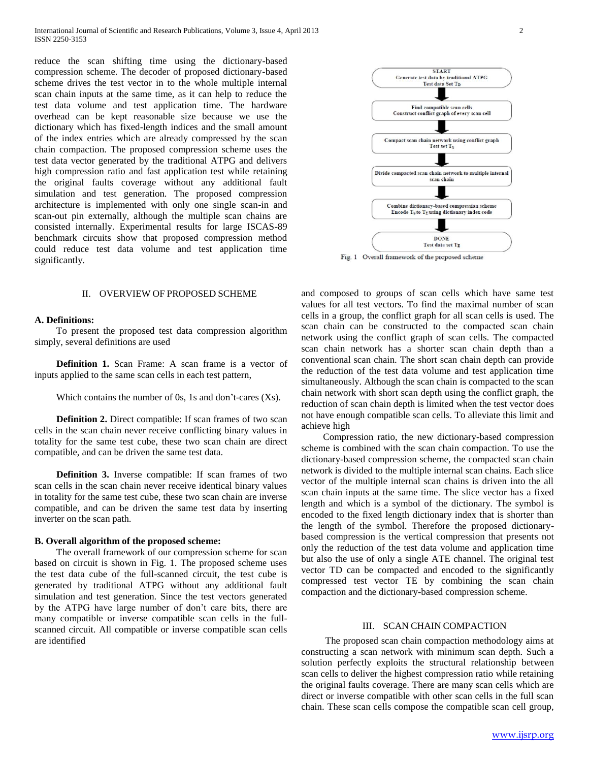reduce the scan shifting time using the dictionary-based compression scheme. The decoder of proposed dictionary-based scheme drives the test vector in to the whole multiple internal scan chain inputs at the same time, as it can help to reduce the test data volume and test application time. The hardware overhead can be kept reasonable size because we use the dictionary which has fixed-length indices and the small amount of the index entries which are already compressed by the scan chain compaction. The proposed compression scheme uses the test data vector generated by the traditional ATPG and delivers high compression ratio and fast application test while retaining the original faults coverage without any additional fault simulation and test generation. The proposed compression architecture is implemented with only one single scan-in and scan-out pin externally, although the multiple scan chains are consisted internally. Experimental results for large ISCAS-89 benchmark circuits show that proposed compression method could reduce test data volume and test application time significantly.

#### II. OVERVIEW OF PROPOSED SCHEME

#### **A. Definitions:**

 To present the proposed test data compression algorithm simply, several definitions are used

 **Definition 1.** Scan Frame: A scan frame is a vector of inputs applied to the same scan cells in each test pattern,

Which contains the number of 0s, 1s and don't-cares (Xs).

 **Definition 2.** Direct compatible: If scan frames of two scan cells in the scan chain never receive conflicting binary values in totality for the same test cube, these two scan chain are direct compatible, and can be driven the same test data.

 **Definition 3.** Inverse compatible: If scan frames of two scan cells in the scan chain never receive identical binary values in totality for the same test cube, these two scan chain are inverse compatible, and can be driven the same test data by inserting inverter on the scan path.

## **B. Overall algorithm of the proposed scheme:**

 The overall framework of our compression scheme for scan based on circuit is shown in Fig. 1. The proposed scheme uses the test data cube of the full-scanned circuit, the test cube is generated by traditional ATPG without any additional fault simulation and test generation. Since the test vectors generated by the ATPG have large number of don't care bits, there are many compatible or inverse compatible scan cells in the fullscanned circuit. All compatible or inverse compatible scan cells are identified



Fig. 1 Overall framework of the proposed scheme

and composed to groups of scan cells which have same test values for all test vectors. To find the maximal number of scan cells in a group, the conflict graph for all scan cells is used. The scan chain can be constructed to the compacted scan chain network using the conflict graph of scan cells. The compacted scan chain network has a shorter scan chain depth than a conventional scan chain. The short scan chain depth can provide the reduction of the test data volume and test application time simultaneously. Although the scan chain is compacted to the scan chain network with short scan depth using the conflict graph, the reduction of scan chain depth is limited when the test vector does not have enough compatible scan cells. To alleviate this limit and achieve high

 Compression ratio, the new dictionary-based compression scheme is combined with the scan chain compaction. To use the dictionary-based compression scheme, the compacted scan chain network is divided to the multiple internal scan chains. Each slice vector of the multiple internal scan chains is driven into the all scan chain inputs at the same time. The slice vector has a fixed length and which is a symbol of the dictionary. The symbol is encoded to the fixed length dictionary index that is shorter than the length of the symbol. Therefore the proposed dictionarybased compression is the vertical compression that presents not only the reduction of the test data volume and application time but also the use of only a single ATE channel. The original test vector TD can be compacted and encoded to the significantly compressed test vector TE by combining the scan chain compaction and the dictionary-based compression scheme.

# III. SCAN CHAIN COMPACTION

 The proposed scan chain compaction methodology aims at constructing a scan network with minimum scan depth. Such a solution perfectly exploits the structural relationship between scan cells to deliver the highest compression ratio while retaining the original faults coverage. There are many scan cells which are direct or inverse compatible with other scan cells in the full scan chain. These scan cells compose the compatible scan cell group,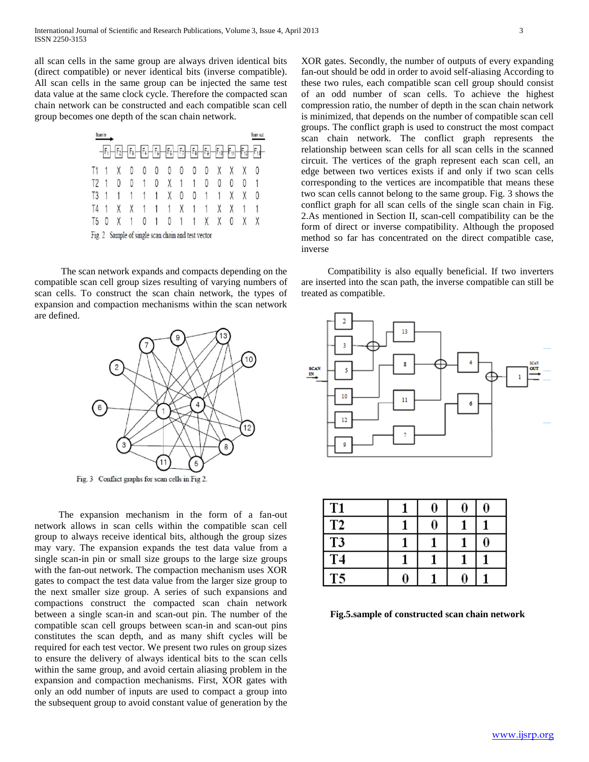all scan cells in the same group are always driven identical bits (direct compatible) or never identical bits (inverse compatible). All scan cells in the same group can be injected the same test data value at the same clock cycle. Therefore the compacted scan chain network can be constructed and each compatible scan cell group becomes one depth of the scan chain network.

| Scan in |                                                    |              |   |                |          |   |   |   |   |                                                                   |
|---------|----------------------------------------------------|--------------|---|----------------|----------|---|---|---|---|-------------------------------------------------------------------|
|         |                                                    |              |   |                |          |   |   |   |   | — F1 — F2 — F3 — F4 — F6 — F5 — F8 — F0 — F10 — F11 — F12 — F13 — |
|         |                                                    | 0            | 0 | 0              | 0        | 0 | χ | X | X |                                                                   |
|         |                                                    | 1            |   | χ              | 1        | 0 |   |   |   |                                                                   |
| T3      |                                                    |              |   | X              | $\Omega$ |   |   | χ |   |                                                                   |
| T4      |                                                    | $\mathbf{1}$ |   | $\overline{1}$ |          |   |   |   |   |                                                                   |
| T5      |                                                    |              | 1 | N              |          | X | χ |   | X |                                                                   |
|         | Fig. 2 Sample of single scan chain and test vector |              |   |                |          |   |   |   |   |                                                                   |

 The scan network expands and compacts depending on the compatible scan cell group sizes resulting of varying numbers of scan cells. To construct the scan chain network, the types of expansion and compaction mechanisms within the scan network are defined.



Fig. 3 Conflict graphs for scan cells in Fig 2.

 The expansion mechanism in the form of a fan-out network allows in scan cells within the compatible scan cell group to always receive identical bits, although the group sizes may vary. The expansion expands the test data value from a single scan-in pin or small size groups to the large size groups with the fan-out network. The compaction mechanism uses XOR gates to compact the test data value from the larger size group to the next smaller size group. A series of such expansions and compactions construct the compacted scan chain network between a single scan-in and scan-out pin. The number of the compatible scan cell groups between scan-in and scan-out pins constitutes the scan depth, and as many shift cycles will be required for each test vector. We present two rules on group sizes to ensure the delivery of always identical bits to the scan cells within the same group, and avoid certain aliasing problem in the expansion and compaction mechanisms. First, XOR gates with only an odd number of inputs are used to compact a group into the subsequent group to avoid constant value of generation by the XOR gates. Secondly, the number of outputs of every expanding fan-out should be odd in order to avoid self-aliasing According to these two rules, each compatible scan cell group should consist of an odd number of scan cells. To achieve the highest compression ratio, the number of depth in the scan chain network is minimized, that depends on the number of compatible scan cell groups. The conflict graph is used to construct the most compact scan chain network. The conflict graph represents the relationship between scan cells for all scan cells in the scanned circuit. The vertices of the graph represent each scan cell, an edge between two vertices exists if and only if two scan cells corresponding to the vertices are incompatible that means these two scan cells cannot belong to the same group. Fig. 3 shows the conflict graph for all scan cells of the single scan chain in Fig. 2.As mentioned in Section II, scan-cell compatibility can be the form of direct or inverse compatibility. Although the proposed method so far has concentrated on the direct compatible case, inverse

 Compatibility is also equally beneficial. If two inverters are inserted into the scan path, the inverse compatible can still be treated as compatible.



| T <sub>1</sub> |  |  |
|----------------|--|--|
| T <sub>2</sub> |  |  |
| T <sub>3</sub> |  |  |
| T <sub>4</sub> |  |  |
| T <sub>5</sub> |  |  |

**Fig.5.sample of constructed scan chain network**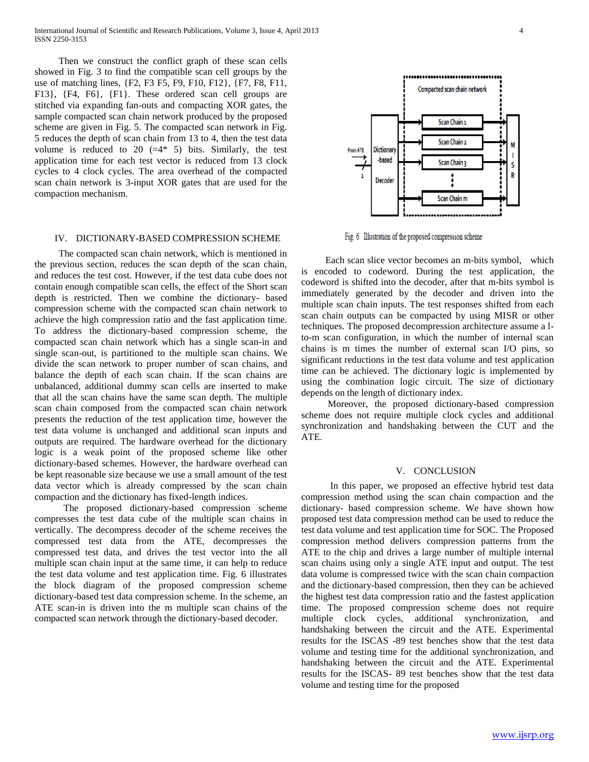Then we construct the conflict graph of these scan cells showed in Fig. 3 to find the compatible scan cell groups by the use of matching lines, {F2, F3 F5, F9, F10, F12}, {F7, F8, F11, F13}, {F4, F6}, {F1}. These ordered scan cell groups are stitched via expanding fan-outs and compacting XOR gates, the sample compacted scan chain network produced by the proposed scheme are given in Fig. 5. The compacted scan network in Fig. 5 reduces the depth of scan chain from 13 to 4, then the test data volume is reduced to 20  $(=4* 5)$  bits. Similarly, the test application time for each test vector is reduced from 13 clock cycles to 4 clock cycles. The area overhead of the compacted scan chain network is 3-input XOR gates that are used for the compaction mechanism.

# IV. DICTIONARY-BASED COMPRESSION SCHEME

 The compacted scan chain network, which is mentioned in the previous section, reduces the scan depth of the scan chain, and reduces the test cost. However, if the test data cube does not contain enough compatible scan cells, the effect of the Short scan depth is restricted. Then we combine the dictionary- based compression scheme with the compacted scan chain network to achieve the high compression ratio and the fast application time. To address the dictionary-based compression scheme, the compacted scan chain network which has a single scan-in and single scan-out, is partitioned to the multiple scan chains. We divide the scan network to proper number of scan chains, and balance the depth of each scan chain. If the scan chains are unbalanced, additional dummy scan cells are inserted to make that all the scan chains have the same scan depth. The multiple scan chain composed from the compacted scan chain network presents the reduction of the test application time, however the test data volume is unchanged and additional scan inputs and outputs are required. The hardware overhead for the dictionary logic is a weak point of the proposed scheme like other dictionary-based schemes. However, the hardware overhead can be kept reasonable size because we use a small amount of the test data vector which is already compressed by the scan chain compaction and the dictionary has fixed-length indices.

 The proposed dictionary-based compression scheme compresses the test data cube of the multiple scan chains in vertically. The decompress decoder of the scheme receives the compressed test data from the ATE, decompresses the compressed test data, and drives the test vector into the all multiple scan chain input at the same time, it can help to reduce the test data volume and test application time. Fig. 6 illustrates the block diagram of the proposed compression scheme dictionary-based test data compression scheme. In the scheme, an ATE scan-in is driven into the m multiple scan chains of the compacted scan network through the dictionary-based decoder.



Fig. 6 Illustration of the proposed compression scheme

 Each scan slice vector becomes an m-bits symbol, which is encoded to codeword. During the test application, the codeword is shifted into the decoder, after that m-bits symbol is immediately generated by the decoder and driven into the multiple scan chain inputs. The test responses shifted from each scan chain outputs can be compacted by using MISR or other techniques. The proposed decompression architecture assume a lto-m scan configuration, in which the number of internal scan chains is m times the number of external scan I/O pins, so significant reductions in the test data volume and test application time can be achieved. The dictionary logic is implemented by using the combination logic circuit. The size of dictionary depends on the length of dictionary index.

 Moreover, the proposed dictionary-based compression scheme does not require multiple clock cycles and additional synchronization and handshaking between the CUT and the ATE.

# V. CONCLUSION

 In this paper, we proposed an effective hybrid test data compression method using the scan chain compaction and the dictionary- based compression scheme. We have shown how proposed test data compression method can be used to reduce the test data volume and test application time for SOC. The Proposed compression method delivers compression patterns from the ATE to the chip and drives a large number of multiple internal scan chains using only a single ATE input and output. The test data volume is compressed twice with the scan chain compaction and the dictionary-based compression, then they can be achieved the highest test data compression ratio and the fastest application time. The proposed compression scheme does not require multiple clock cycles, additional synchronization, and handshaking between the circuit and the ATE. Experimental results for the ISCAS -89 test benches show that the test data volume and testing time for the additional synchronization, and handshaking between the circuit and the ATE. Experimental results for the ISCAS- 89 test benches show that the test data volume and testing time for the proposed